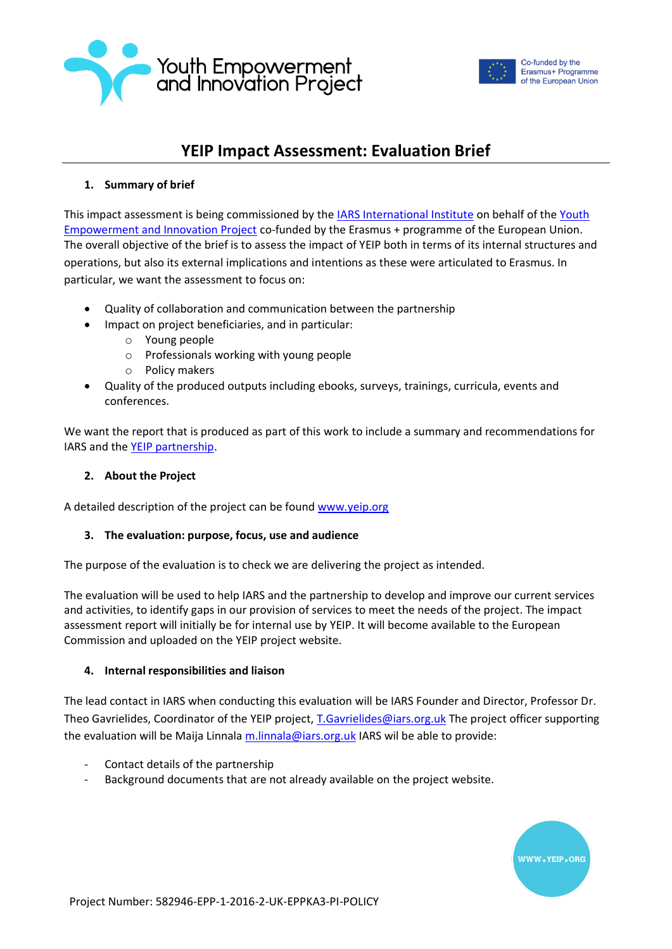



# **YEIP Impact Assessment: Evaluation Brief**

## **1. Summary of brief**

This impact assessment is being commissioned by the **IARS International Institute** on behalf of the Youth [Empowerment and Innovation Project](https://yeip.org/) co-funded by the Erasmus + programme of the European Union. The overall objective of the brief is to assess the impact of YEIP both in terms of its internal structures and operations, but also its external implications and intentions as these were articulated to Erasmus. In particular, we want the assessment to focus on:

- Quality of collaboration and communication between the partnership
- Impact on project beneficiaries, and in particular:
	- o Young people
	- o Professionals working with young people
	- o Policy makers
- Quality of the produced outputs including ebooks, surveys, trainings, curricula, events and conferences.

We want the report that is produced as part of this work to include a summary and recommendations for IARS and the [YEIP partnership.](https://yeip.org/partnership/)

### **2. About the Project**

A detailed description of the project can be foun[d www.yeip.org](http://www.yeip.org/)

#### **3. The evaluation: purpose, focus, use and audience**

The purpose of the evaluation is to check we are delivering the project as intended.

The evaluation will be used to help IARS and the partnership to develop and improve our current services and activities, to identify gaps in our provision of services to meet the needs of the project. The impact assessment report will initially be for internal use by YEIP. It will become available to the European Commission and uploaded on the YEIP project website.

#### **4. Internal responsibilities and liaison**

The lead contact in IARS when conducting this evaluation will be IARS Founder and Director, Professor Dr. Theo Gavrielides, Coordinator of the YEIP project[, T.Gavrielides@iars.org.uk](mailto:T.Gavrielides@iars.org.uk) The project officer supporting the evaluation will be Maija Linnala [m.linnala@iars.org.uk](mailto:m.linnala@iars.org.uk) IARS wil be able to provide:

- Contact details of the partnership
- Background documents that are not already available on the project website.